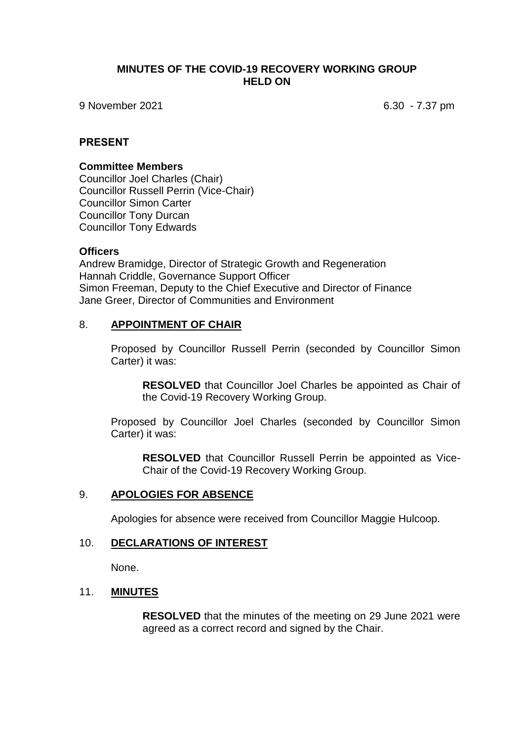### **MINUTES OF THE COVID-19 RECOVERY WORKING GROUP HELD ON**

9 November 2021 6.30 - 7.37 pm

### **PRESENT**

#### **Committee Members**

Councillor Joel Charles (Chair) Councillor Russell Perrin (Vice-Chair) Councillor Simon Carter Councillor Tony Durcan Councillor Tony Edwards

#### **Officers**

Andrew Bramidge, Director of Strategic Growth and Regeneration Hannah Criddle, Governance Support Officer Simon Freeman, Deputy to the Chief Executive and Director of Finance Jane Greer, Director of Communities and Environment

### 8. **APPOINTMENT OF CHAIR**

Proposed by Councillor Russell Perrin (seconded by Councillor Simon Carter) it was:

**RESOLVED** that Councillor Joel Charles be appointed as Chair of the Covid-19 Recovery Working Group.

Proposed by Councillor Joel Charles (seconded by Councillor Simon Carter) it was:

**RESOLVED** that Councillor Russell Perrin be appointed as Vice-Chair of the Covid-19 Recovery Working Group.

#### 9. **APOLOGIES FOR ABSENCE**

Apologies for absence were received from Councillor Maggie Hulcoop.

### 10. **DECLARATIONS OF INTEREST**

None.

## 11. **MINUTES**

**RESOLVED** that the minutes of the meeting on 29 June 2021 were agreed as a correct record and signed by the Chair.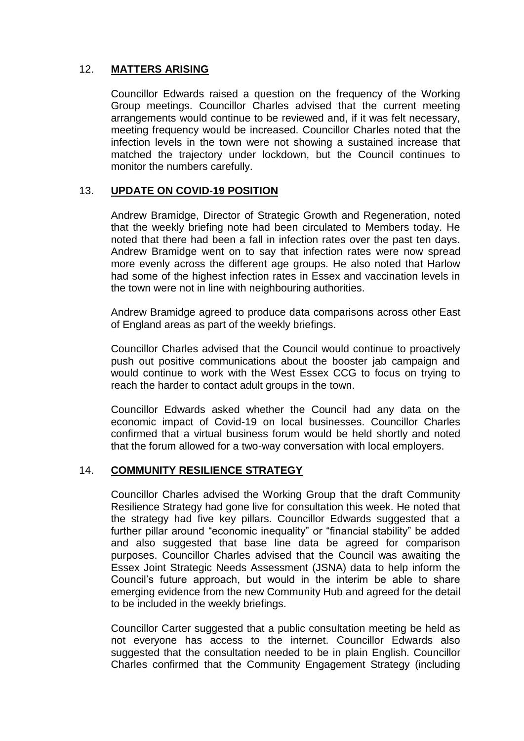# 12. **MATTERS ARISING**

Councillor Edwards raised a question on the frequency of the Working Group meetings. Councillor Charles advised that the current meeting arrangements would continue to be reviewed and, if it was felt necessary, meeting frequency would be increased. Councillor Charles noted that the infection levels in the town were not showing a sustained increase that matched the trajectory under lockdown, but the Council continues to monitor the numbers carefully.

# 13. **UPDATE ON COVID-19 POSITION**

Andrew Bramidge, Director of Strategic Growth and Regeneration, noted that the weekly briefing note had been circulated to Members today. He noted that there had been a fall in infection rates over the past ten days. Andrew Bramidge went on to say that infection rates were now spread more evenly across the different age groups. He also noted that Harlow had some of the highest infection rates in Essex and vaccination levels in the town were not in line with neighbouring authorities.

Andrew Bramidge agreed to produce data comparisons across other East of England areas as part of the weekly briefings.

Councillor Charles advised that the Council would continue to proactively push out positive communications about the booster jab campaign and would continue to work with the West Essex CCG to focus on trying to reach the harder to contact adult groups in the town.

Councillor Edwards asked whether the Council had any data on the economic impact of Covid-19 on local businesses. Councillor Charles confirmed that a virtual business forum would be held shortly and noted that the forum allowed for a two-way conversation with local employers.

# 14. **COMMUNITY RESILIENCE STRATEGY**

Councillor Charles advised the Working Group that the draft Community Resilience Strategy had gone live for consultation this week. He noted that the strategy had five key pillars. Councillor Edwards suggested that a further pillar around "economic inequality" or "financial stability" be added and also suggested that base line data be agreed for comparison purposes. Councillor Charles advised that the Council was awaiting the Essex Joint Strategic Needs Assessment (JSNA) data to help inform the Council's future approach, but would in the interim be able to share emerging evidence from the new Community Hub and agreed for the detail to be included in the weekly briefings.

Councillor Carter suggested that a public consultation meeting be held as not everyone has access to the internet. Councillor Edwards also suggested that the consultation needed to be in plain English. Councillor Charles confirmed that the Community Engagement Strategy (including